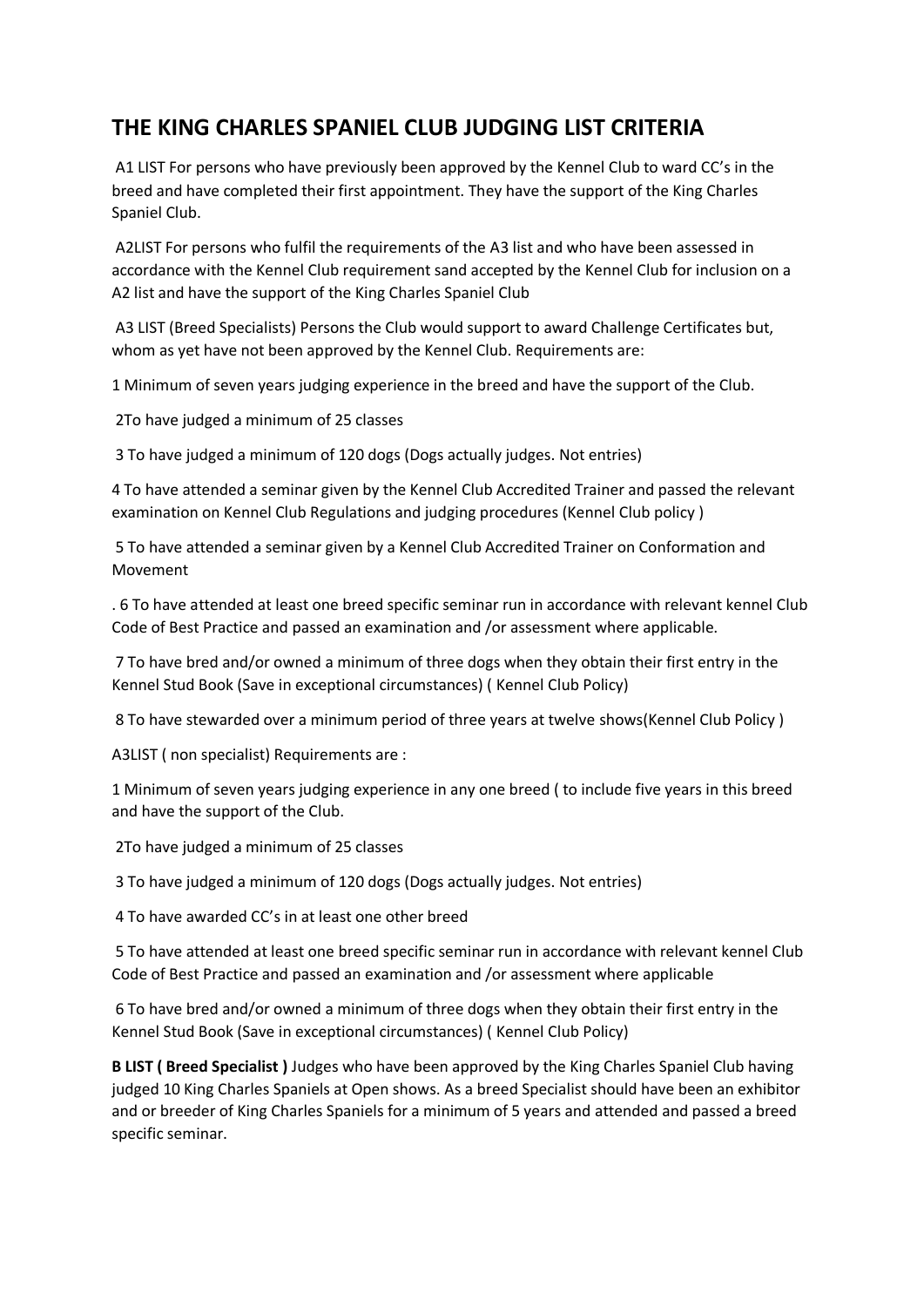## **THE KING CHARLES SPANIEL CLUB JUDGING LIST CRITERIA**

A1 LIST For persons who have previously been approved by the Kennel Club to ward CC's in the breed and have completed their first appointment. They have the support of the King Charles Spaniel Club.

A2LIST For persons who fulfil the requirements of the A3 list and who have been assessed in accordance with the Kennel Club requirement sand accepted by the Kennel Club for inclusion on a A2 list and have the support of the King Charles Spaniel Club

A3 LIST (Breed Specialists) Persons the Club would support to award Challenge Certificates but, whom as yet have not been approved by the Kennel Club. Requirements are:

1 Minimum of seven years judging experience in the breed and have the support of the Club.

2To have judged a minimum of 25 classes

3 To have judged a minimum of 120 dogs (Dogs actually judges. Not entries)

4 To have attended a seminar given by the Kennel Club Accredited Trainer and passed the relevant examination on Kennel Club Regulations and judging procedures (Kennel Club policy )

5 To have attended a seminar given by a Kennel Club Accredited Trainer on Conformation and Movement

. 6 To have attended at least one breed specific seminar run in accordance with relevant kennel Club Code of Best Practice and passed an examination and /or assessment where applicable.

7 To have bred and/or owned a minimum of three dogs when they obtain their first entry in the Kennel Stud Book (Save in exceptional circumstances) ( Kennel Club Policy)

8 To have stewarded over a minimum period of three years at twelve shows(Kennel Club Policy )

A3LIST ( non specialist) Requirements are :

1 Minimum of seven years judging experience in any one breed ( to include five years in this breed and have the support of the Club.

2To have judged a minimum of 25 classes

3 To have judged a minimum of 120 dogs (Dogs actually judges. Not entries)

4 To have awarded CC's in at least one other breed

5 To have attended at least one breed specific seminar run in accordance with relevant kennel Club Code of Best Practice and passed an examination and /or assessment where applicable

6 To have bred and/or owned a minimum of three dogs when they obtain their first entry in the Kennel Stud Book (Save in exceptional circumstances) ( Kennel Club Policy)

**B LIST ( Breed Specialist )** Judges who have been approved by the King Charles Spaniel Club having judged 10 King Charles Spaniels at Open shows. As a breed Specialist should have been an exhibitor and or breeder of King Charles Spaniels for a minimum of 5 years and attended and passed a breed specific seminar.